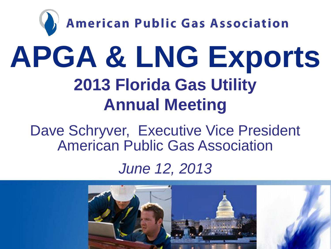

Dave Schryver, Executive Vice President American Public Gas Association

#### *June 12, 2013*

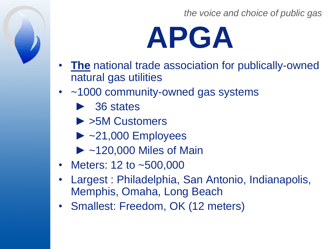

- **The** national trade association for publically-owned natural gas utilities
- ~1000 community-owned gas systems
	- ► 36 states
	- ► >5M Customers
	- $\blacktriangleright$  ~21,000 Employees
	- ► ~120,000 Miles of Main
- Meters: 12 to ~500,000
- Largest : Philadelphia, San Antonio, Indianapolis, Memphis, Omaha, Long Beach
- Smallest: Freedom, OK (12 meters)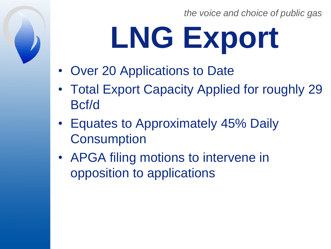# **LNG Export**

- Over 20 Applications to Date
- Total Export Capacity Applied for roughly 29 Bcf/d
- Equates to Approximately 45% Daily **Consumption**
- APGA filing motions to intervene in opposition to applications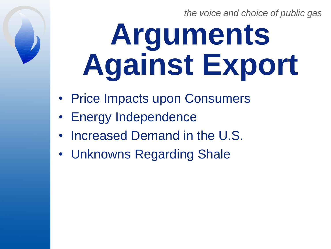# **Arguments Against Export**

- Price Impacts upon Consumers
- Energy Independence
- Increased Demand in the U.S.
- Unknowns Regarding Shale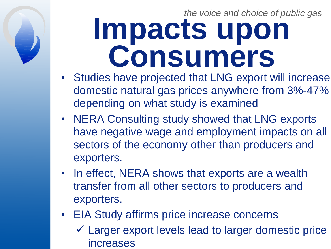#### *the voice and choice of public gas* **Impacts upon Consumers**

- Studies have projected that LNG export will increase domestic natural gas prices anywhere from 3%-47% depending on what study is examined
- NERA Consulting study showed that LNG exports have negative wage and employment impacts on all sectors of the economy other than producers and exporters.
- In effect, NERA shows that exports are a wealth transfer from all other sectors to producers and exporters.
- EIA Study affirms price increase concerns Larger export levels lead to larger domestic price increases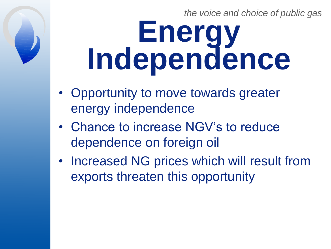### *the voice and choice of public gas* **Energy Independence**

- Opportunity to move towards greater energy independence
- Chance to increase NGV's to reduce dependence on foreign oil
- Increased NG prices which will result from exports threaten this opportunity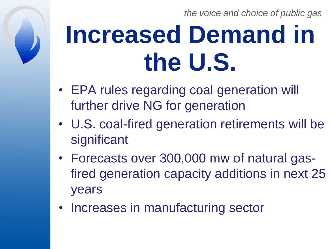## **Increased Demand in the U.S.**

- EPA rules regarding coal generation will further drive NG for generation
- U.S. coal-fired generation retirements will be significant
- Forecasts over 300,000 mw of natural gasfired generation capacity additions in next 25 years
- Increases in manufacturing sector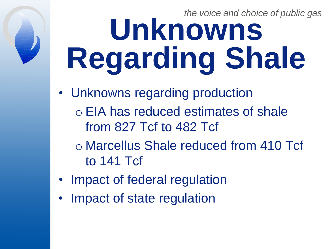### *the voice and choice of public gas* **Unknowns Regarding Shale**

- Unknowns regarding production
	- o EIA has reduced estimates of shale from 827 Tcf to 482 Tcf
	- o Marcellus Shale reduced from 410 Tcf to 141 Tcf
- Impact of federal regulation
- Impact of state regulation